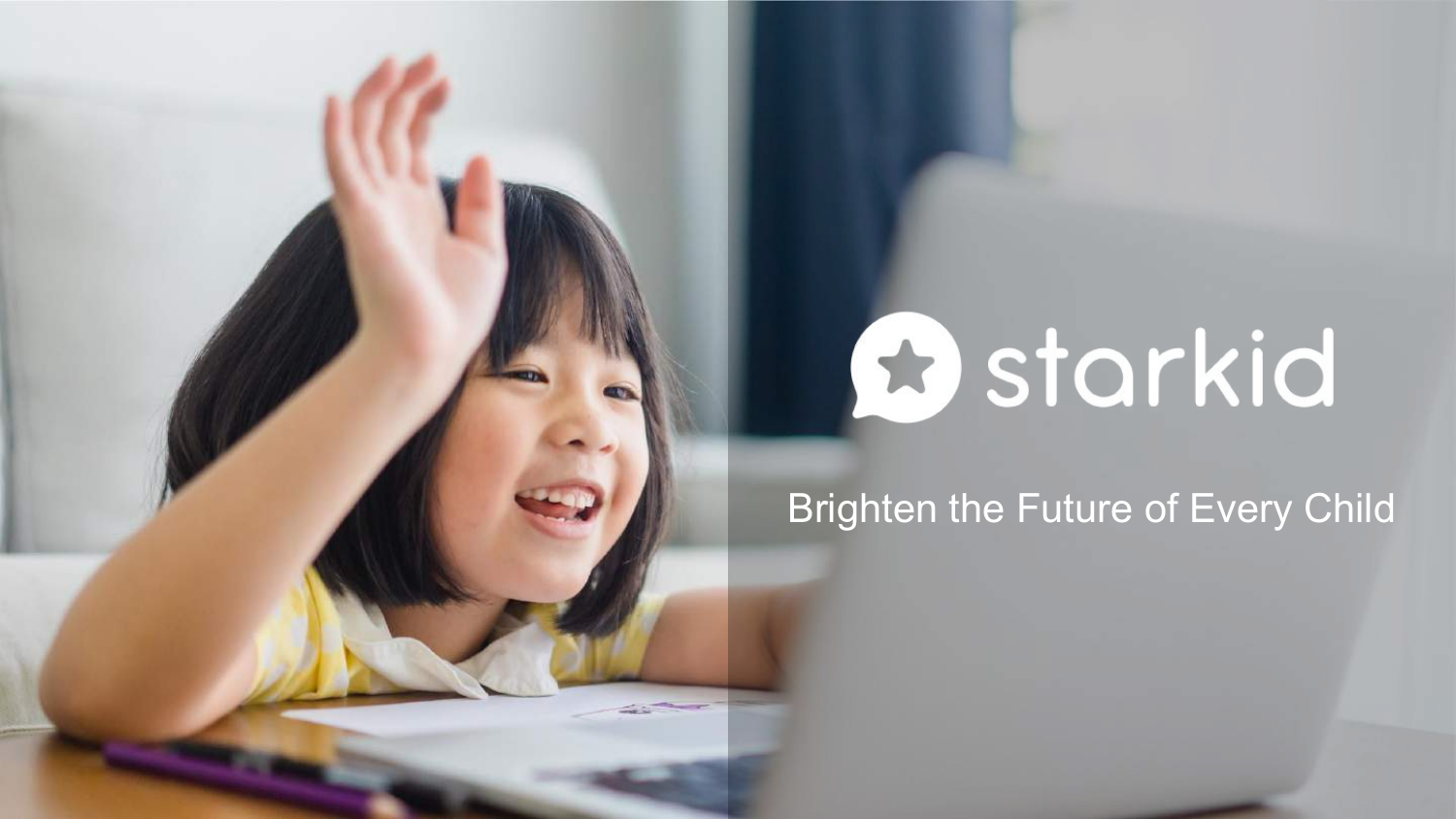# **B** starkid

Brighten the Future of Every Child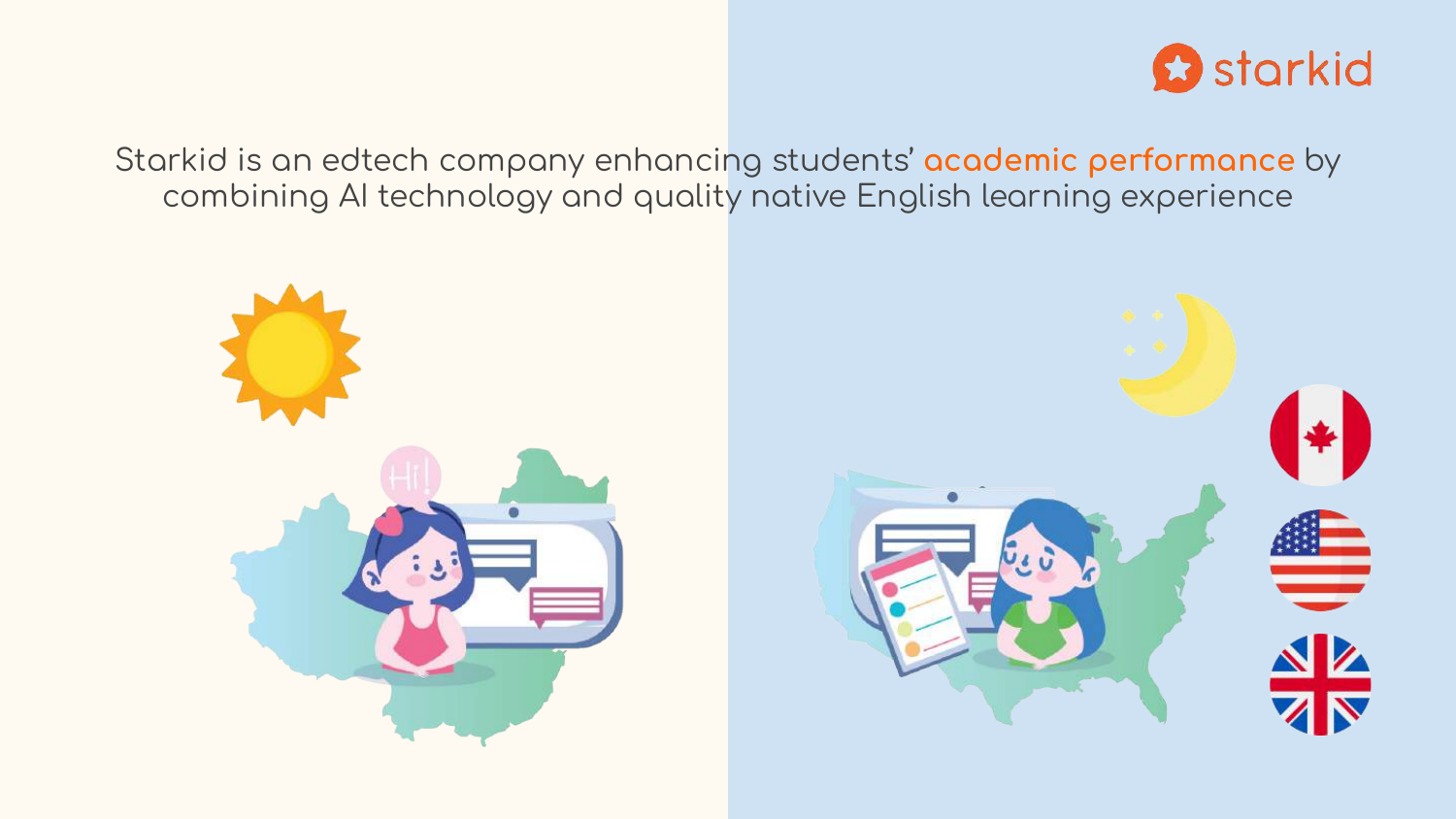

Starkid is an edtech company enhancing students' academic performance by combining AI technology and quality native English learning experience

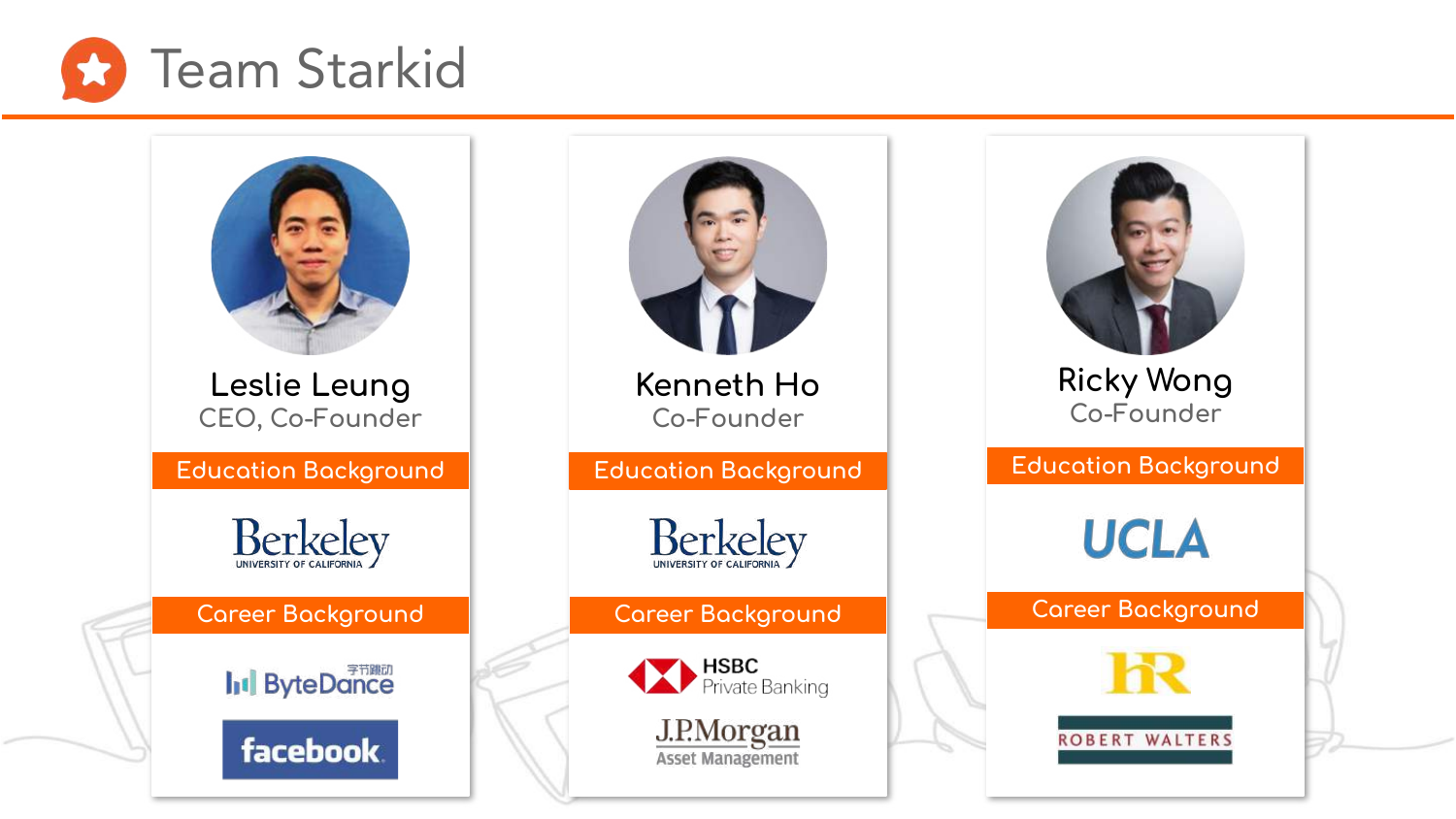

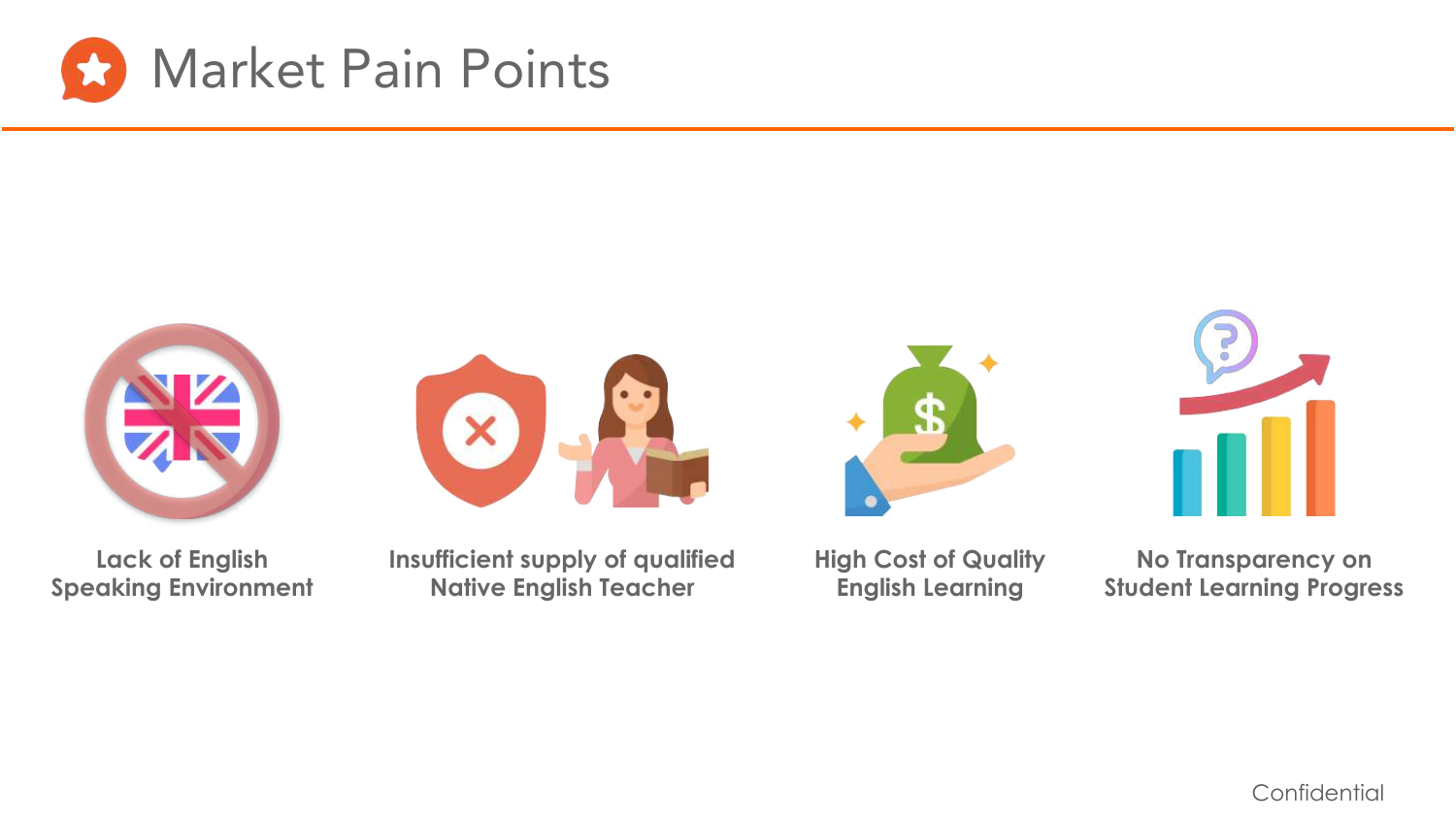



**Lack of English Speaking Environment**

**Insufficient supply of qualified Native English Teacher**

 $\overline{\mathsf{x}}$ 

**High Cost of Quality English Learning**



**No Transparency on Student Learning Progress**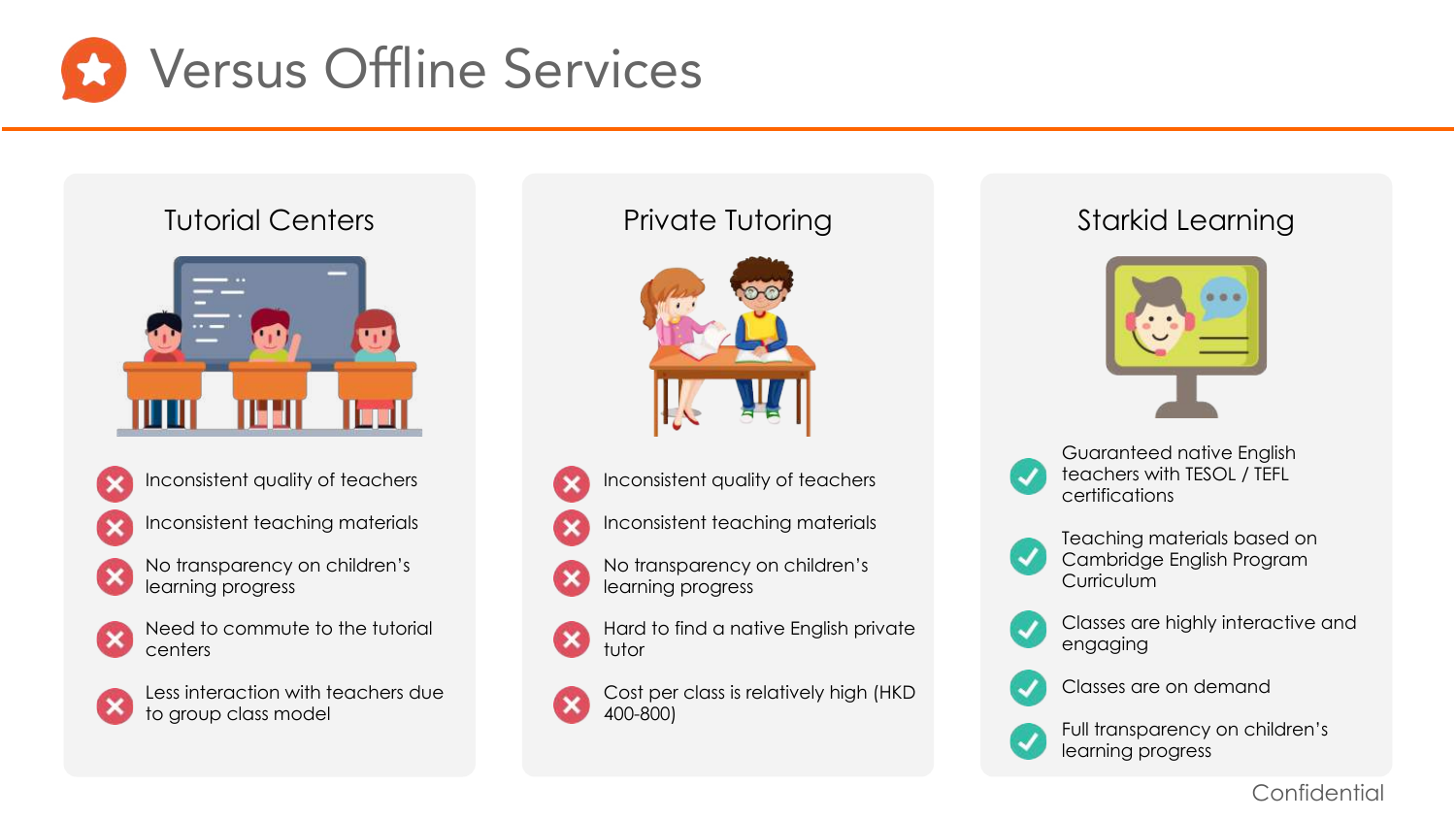

## Tutorial Centers **Private Tutoring**





Inconsistent quality of teachers



Inconsistent teaching materials



No transparency on children's learning progress



Need to commute to the tutorial centers



Less interaction with teachers due to group class model



- 
- Inconsistent quality of teachers
- Inconsistent teaching materials
- No transparency on children's learning progress
- Hard to find a native English private tutor



Cost per class is relatively high (HKD 400-800)

# Starkid Learning





Guaranteed native English teachers with TESOL / TEFL certifications



Teaching materials based on Cambridge English Program **Curriculum** 



Classes are highly interactive and engaging



Classes are on demand



Full transparency on children's learning progress

#### Confidential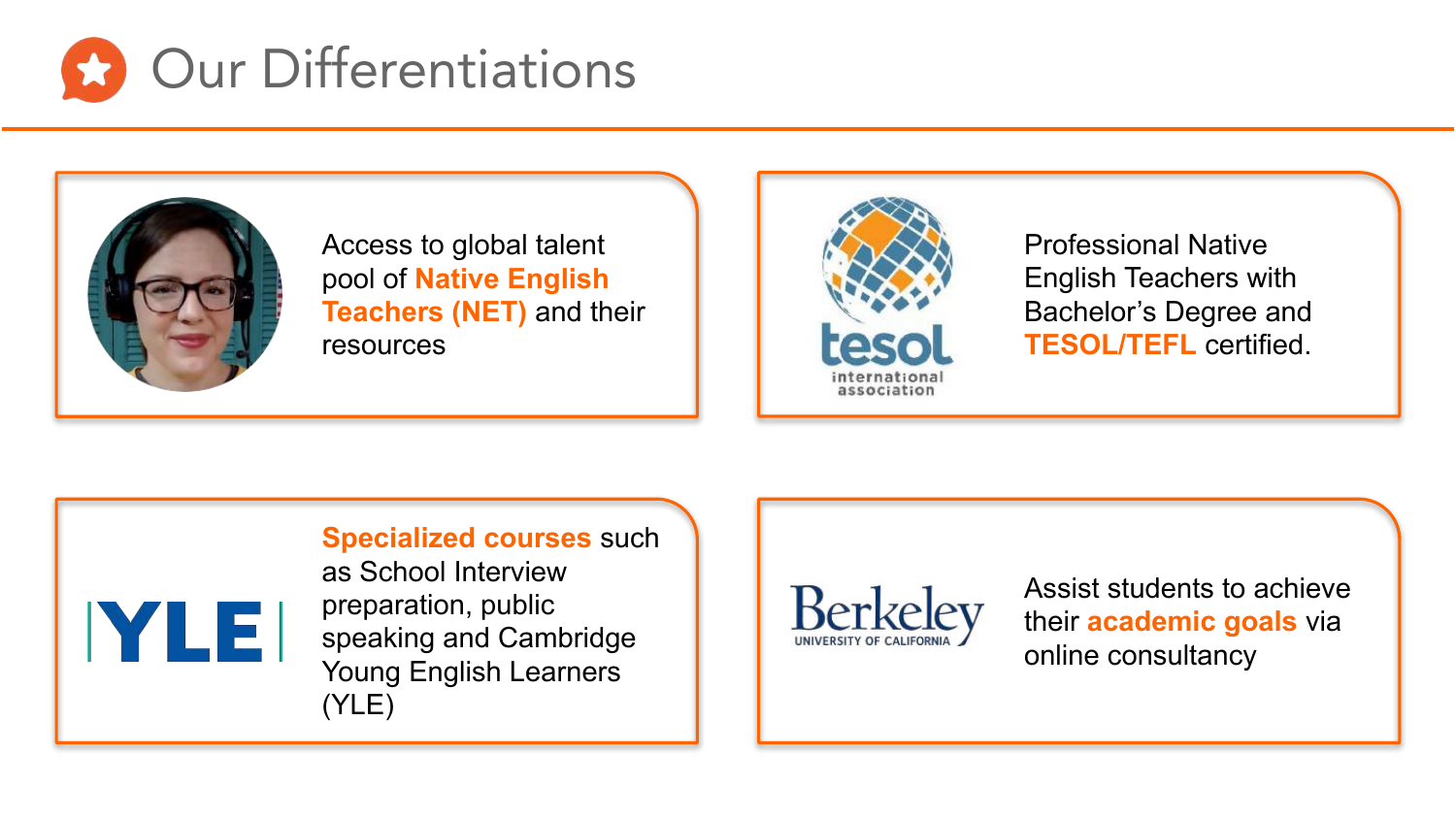



Access to global talent pool of **Native English Teachers (NET)** and their resources



Professional Native English Teachers with Bachelor's Degree and **TESOL/TEFL** certified.





Young English Learners (YLE)



Assist students to achieve their **academic goals** via online consultancy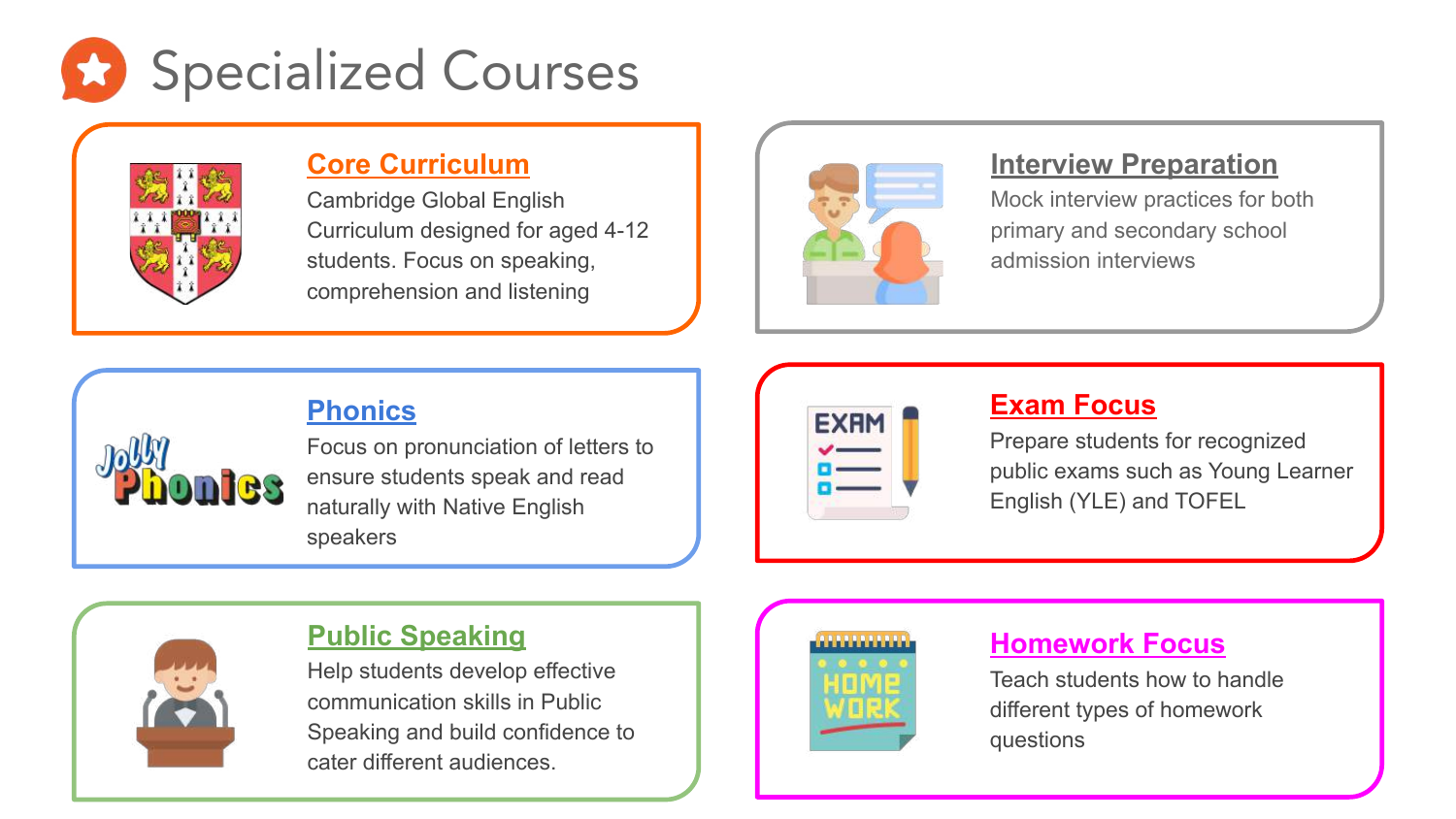



#### **Core Curriculum**

Cambridge Global English Curriculum designed for aged 4-12 students. Focus on speaking, comprehension and listening



#### **Interview Preparation**

Mock interview practices for both primary and secondary school admission interviews

# **Phonics**



Focus on pronunciation of letters to ensure students speak and read naturally with Native English speakers

| EXH |  |  |
|-----|--|--|
|     |  |  |
|     |  |  |
|     |  |  |

### **Exam Focus**

Prepare students for recognized public exams such as Young Learner English (YLE) and TOFEL



### **Public Speaking**

Help students develop effective communication skills in Public Speaking and build confidence to cater different audiences.



# **Homework Focus**

Teach students how to handle different types of homework questions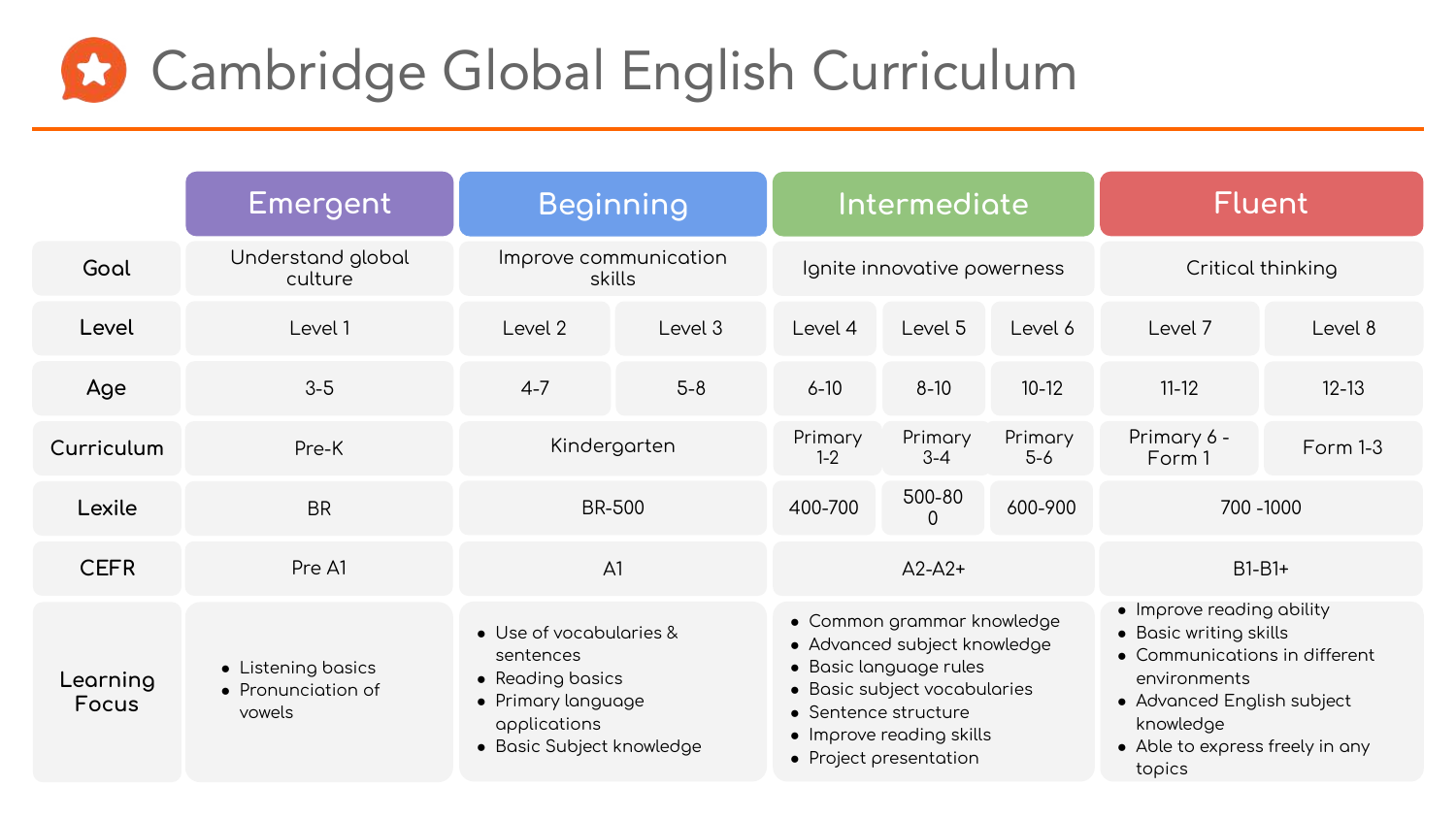

|                   | Emergent                                           | <b>Beginning</b>                                                                                                            |         | Intermediate                                                                                                                                                                                       |                             | <b>Fluent</b>                                                                                                                                                                                |                       |           |
|-------------------|----------------------------------------------------|-----------------------------------------------------------------------------------------------------------------------------|---------|----------------------------------------------------------------------------------------------------------------------------------------------------------------------------------------------------|-----------------------------|----------------------------------------------------------------------------------------------------------------------------------------------------------------------------------------------|-----------------------|-----------|
| Gool              | Understand global<br>culture                       | Improve communication<br>skills                                                                                             |         |                                                                                                                                                                                                    | Ignite innovative powerness |                                                                                                                                                                                              | Critical thinking     |           |
| Level             | Level 1                                            | Level 2                                                                                                                     | Level 3 | Level 4                                                                                                                                                                                            | Level 5                     | Level 6                                                                                                                                                                                      | Level 7               | Level 8   |
| Age               | $3-5$                                              | $4 - 7$                                                                                                                     | $5-8$   | $6 - 10$                                                                                                                                                                                           | $8 - 10$                    | $10-12$                                                                                                                                                                                      | $11 - 12$             | $12 - 13$ |
| Curriculum        | Pre-K                                              | Kindergarten                                                                                                                |         | Primary<br>$1 - 2$                                                                                                                                                                                 | Primary<br>$3 - 4$          | Primary<br>$5-6$                                                                                                                                                                             | Primary 6 -<br>Form 1 | Form 1-3  |
| Lexile            | <b>BR</b>                                          | <b>BR-500</b>                                                                                                               |         | 400-700                                                                                                                                                                                            | 500-80<br>$\Omega$          | 600-900                                                                                                                                                                                      |                       | 700 -1000 |
| <b>CEFR</b>       | Pre A1                                             | A <sub>1</sub>                                                                                                              |         |                                                                                                                                                                                                    | $A2-A2+$                    |                                                                                                                                                                                              |                       | $B1-B1+$  |
| Learning<br>Focus | • Listening basics<br>• Pronunciation of<br>vowels | • Use of vocabularies &<br>sentences<br>• Reading basics<br>• Primary language<br>applications<br>• Basic Subject knowledge |         | • Common grammar knowledge<br>• Advanced subject knowledge<br>· Basic language rules<br>• Basic subject vocabularies<br>• Sentence structure<br>• Improve reading skills<br>• Project presentation |                             | • Improve reading ability<br>• Basic writing skills<br>• Communications in different<br>environments<br>• Advanced English subject<br>knowledge<br>• Able to express freely in any<br>topics |                       |           |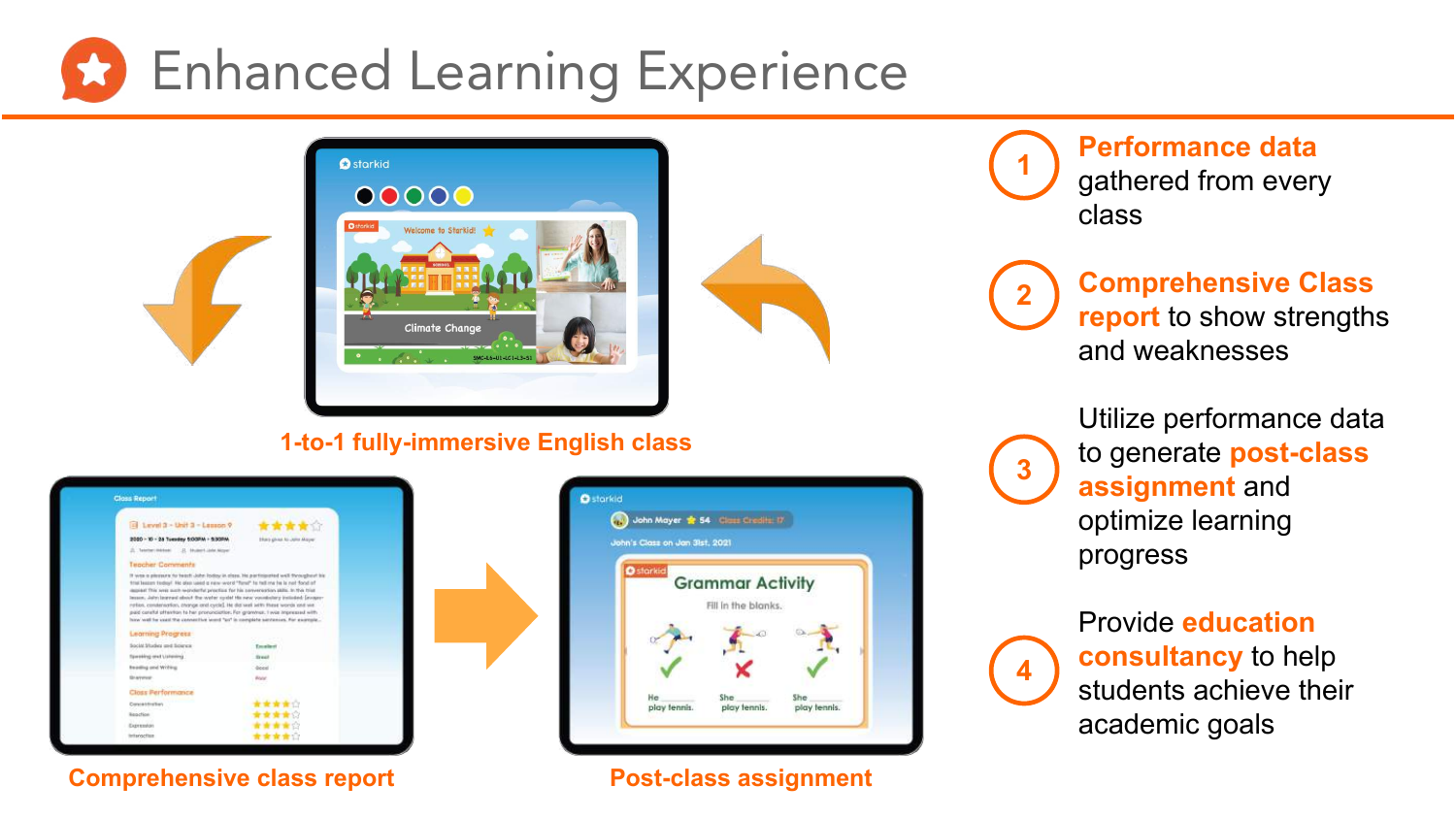



#### **1-to-1 fully-immersive English class**

| <b>Closs Report</b>                             |                                                                                                                                                                                                                                                                                                                                                                                                                                                                                                                       |
|-------------------------------------------------|-----------------------------------------------------------------------------------------------------------------------------------------------------------------------------------------------------------------------------------------------------------------------------------------------------------------------------------------------------------------------------------------------------------------------------------------------------------------------------------------------------------------------|
| $\Box$ Level 3 - Unit 3 - Lesson 9              | *****                                                                                                                                                                                                                                                                                                                                                                                                                                                                                                                 |
| 2000 - 10 - 28 Tuesday 5:00PM - 5:30PM          | Efect gives to Jane Mayer                                                                                                                                                                                                                                                                                                                                                                                                                                                                                             |
| 21. Telefort Military<br>21. Musert Links Moyer |                                                                                                                                                                                                                                                                                                                                                                                                                                                                                                                       |
| Teacher Comments                                |                                                                                                                                                                                                                                                                                                                                                                                                                                                                                                                       |
| <b>Leorning Progress</b>                        | frail leasen fedisi/ He disc used a new word "farul" fo fell me feels not flood of<br>depict This sees each wonderful proclics for his conversation skills. In this trial<br>lesson, John learned about the water cycle! His new younknlary included: [avapa-<br>rotion, condensation, phonge and cycle]. He did well with these words and we.<br>paid cereful offention to her prononciation. For grammer, I was impressed with<br>have well for used the connective learnt "ps" in complete sentences. For example, |
| Social Studies and Sources                      | Emaileri                                                                                                                                                                                                                                                                                                                                                                                                                                                                                                              |
| Specifical credit Links                         | <b>Street</b>                                                                                                                                                                                                                                                                                                                                                                                                                                                                                                         |
| <b>Reading and Writing</b>                      | diegel                                                                                                                                                                                                                                                                                                                                                                                                                                                                                                                |
| <b>Grayeres</b>                                 | <b>Rock</b>                                                                                                                                                                                                                                                                                                                                                                                                                                                                                                           |
| Closs Performance                               |                                                                                                                                                                                                                                                                                                                                                                                                                                                                                                                       |
| Conceitorius                                    | *****                                                                                                                                                                                                                                                                                                                                                                                                                                                                                                                 |
| <b>Kentrick</b>                                 | *****                                                                                                                                                                                                                                                                                                                                                                                                                                                                                                                 |
| Expression                                      | 青青青青白                                                                                                                                                                                                                                                                                                                                                                                                                                                                                                                 |
|                                                 | 音音音音台                                                                                                                                                                                                                                                                                                                                                                                                                                                                                                                 |

**Comprehensive class report Fig. 2.1 Post-class assignment** 



**Performance data** gathered from every class **1**

**Comprehensive Class report** to show strengths and weaknesses **2**

> Utilize performance data to generate **post-class assignment** and optimize learning progress



**3**

Provide **education consultancy** to help students achieve their academic goals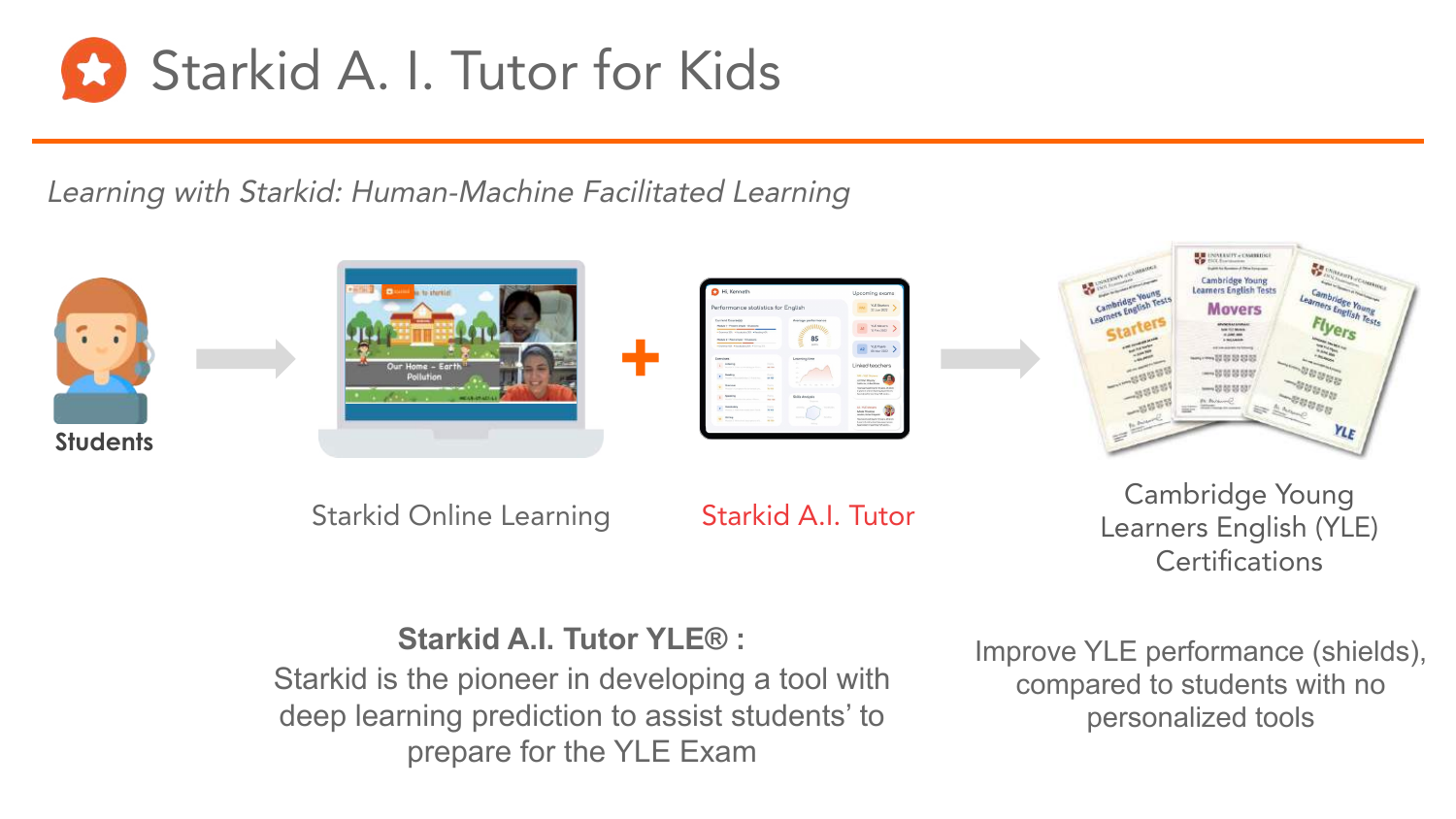

Learning with Starkid: Human-Machine Facilitated Learning









Starkid Online Learning Starkid A.I. Tutor

Cambridge Young Learners English (YLE) **Certifications** 

# **Starkid A.I. Tutor YLE® :**

Starkid is the pioneer in developing a tool with deep learning prediction to assist students' to prepare for the YLE Exam

Improve YLE performance (shields), compared to students with no personalized tools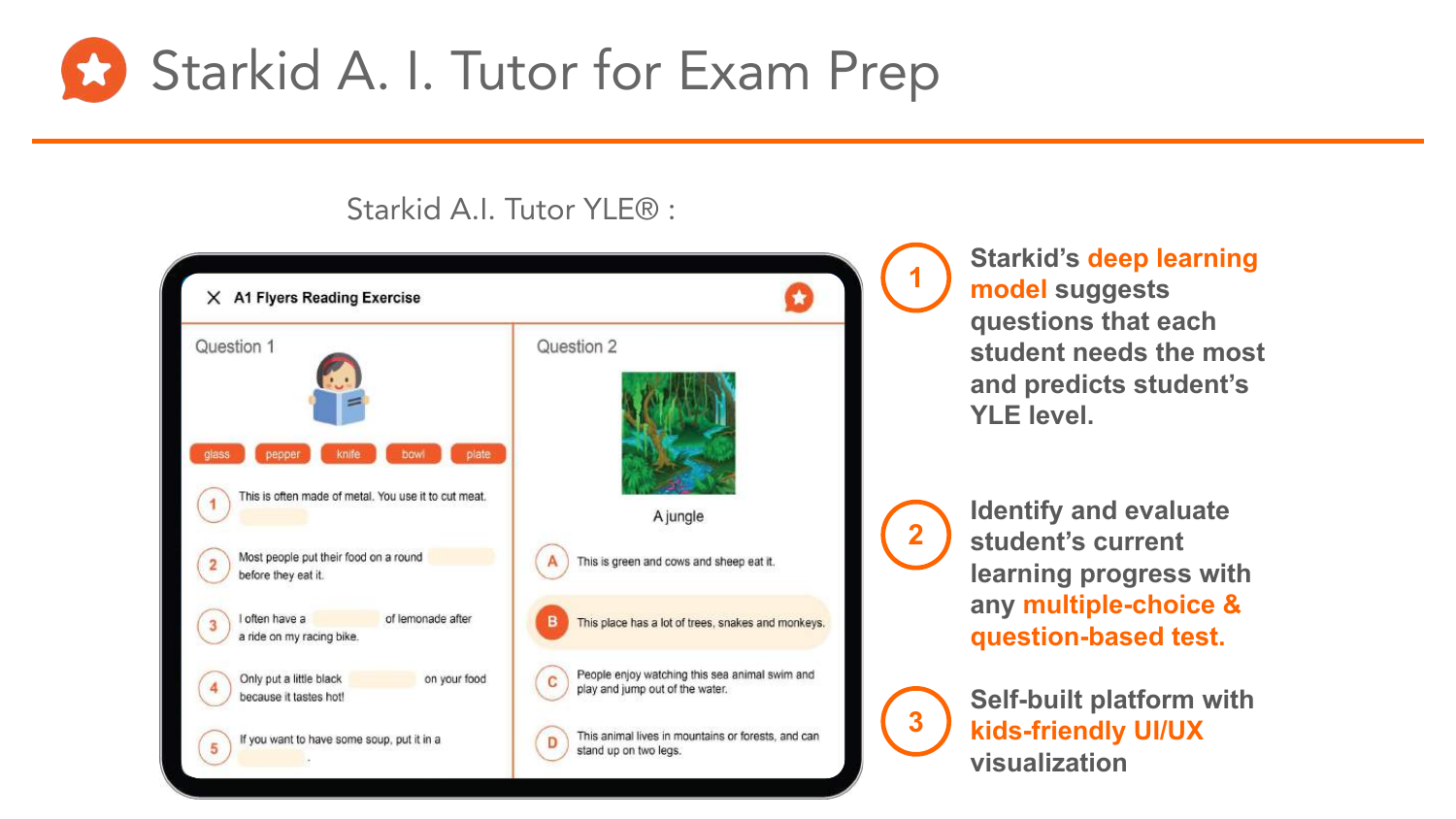

# Starkid A.I. Tutor YLE® :

| Question 1                                                                                        | Question 2                                                                        |  |
|---------------------------------------------------------------------------------------------------|-----------------------------------------------------------------------------------|--|
| plate<br>pepper<br>knife<br>bowl<br>class<br>This is often made of metal. You use it to cut meat. | A jungle                                                                          |  |
| Most people put their food on a round                                                             |                                                                                   |  |
| before they eat it.                                                                               | This is green and cows and sheep eat it.                                          |  |
| I often have a<br>of lemonade after<br>3<br>a ride on my racing bike.                             | This place has a lot of trees, snakes and monkeys.                                |  |
| Only put a little black<br>on your food<br>because it tastes hot!                                 | People enjoy watching this sea animal swim and<br>play and jump out of the water. |  |
| If you want to have some soup, put it in a<br>5                                                   | This animal lives in mountains or forests, and can<br>D<br>stand up on two legs.  |  |

**Starkid's deep learning model suggests questions that each student needs the most and predicts student's YLE level.**

**Identify and evaluate student's current learning progress with any multiple-choice & question-based test.**



**Self-built platform with kids-friendly UI/UX visualization**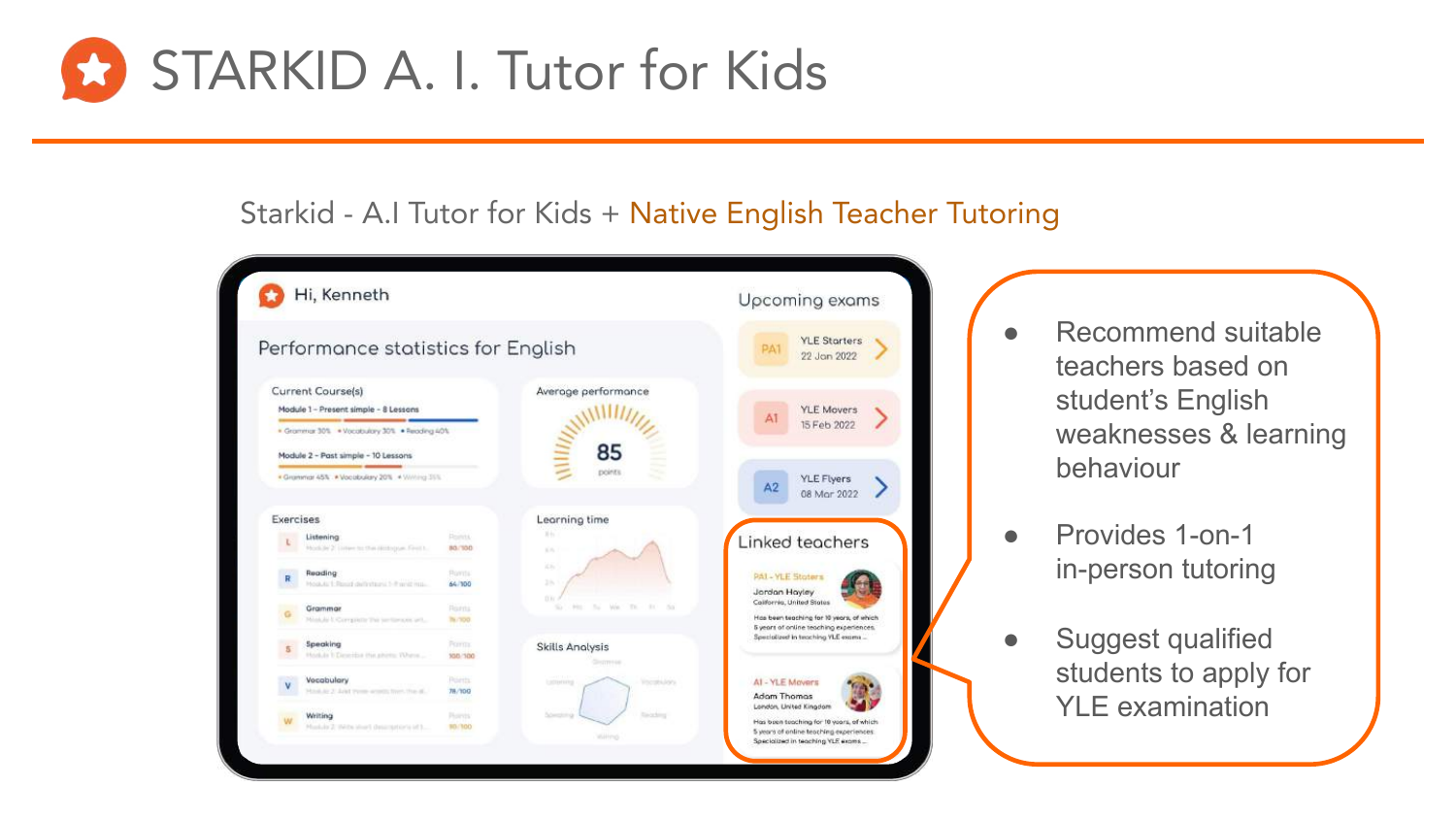

# Starkid - A.I Tutor for Kids + Native English Teacher Tutoring

| Hi, Kenneth |                                                                                     |                                                 | Upcoming exams                                     |                                                                                                                  |
|-------------|-------------------------------------------------------------------------------------|-------------------------------------------------|----------------------------------------------------|------------------------------------------------------------------------------------------------------------------|
|             | Performance statistics for English                                                  |                                                 |                                                    | <b>YLE Starters</b><br><b>PA1</b><br>22 Jon 2022                                                                 |
|             | Current Course(s)<br>Module 1 - Present simple - 8 Lessons                          |                                                 | Average performance                                | <b>YLE Movers</b><br>Å1                                                                                          |
|             | · Grammar 30% · Vocabulary 30% · Reading 40%<br>Module 2 - Past simple - 10 Lessons |                                                 | 85                                                 | 15 Feb 2022                                                                                                      |
|             | * Grammar 45% . * Vocabulary 20% . * Willing 35%                                    |                                                 | points                                             | <b>YLE Flyers</b><br>A2<br>08 Mor 2022                                                                           |
| Exercises   |                                                                                     |                                                 | Leorning time                                      |                                                                                                                  |
|             | Listening<br>Module 2. Listen to the skillingum Feed to                             | <b>Points</b><br>80/300                         | $3 + 1$<br>K.                                      | Linked teachers                                                                                                  |
| R           | Reading<br>Hock for 1. Result delivitairs 1-10 and may                              | <b>Romts</b><br>64/100                          | it is<br>25.<br>00i                                | <b>PAL-YLE Stoters</b><br>Jordan Hayley                                                                          |
|             | Grammar<br>Mink & Company The sections of                                           | Roma<br>The / 100 CF                            | 14<br>We Th<br>$-0.01$<br>No.<br><b>POLI</b><br>s. | California, United States<br>Hos been teaching for 10 years, of which<br>5 years of online teaching experiences. |
| 5           | Speaking<br>Hocker I Describe the photo: TUhron                                     | Form:<br>\$58,700                               | <b>Skills Analysis</b><br>Geomete                  | Specialized in teaching YLE exams                                                                                |
|             | Vecabulary<br>Hook by 2: June transporters from that all.                           | Points<br>78/100<br><b><i><u>RALLAL</u></i></b> | Vocability.<br>Lattering                           | AI - YLE Movers<br>Adom Thomas                                                                                   |
|             | Writing<br>Musluke 2: IN-the ideas? (hearingstrian's left)                          | Piorvis<br>90/300                               | Taricking                                          | London, United Kingdom<br>Has been teaching for 10 years, of which<br>5 years of online teaching experiences.    |

- Recommend suitable teachers based on student's English weaknesses & learning behaviour
- Provides 1-on-1 in-person tutoring
- **Suggest qualified** students to apply for YLE examination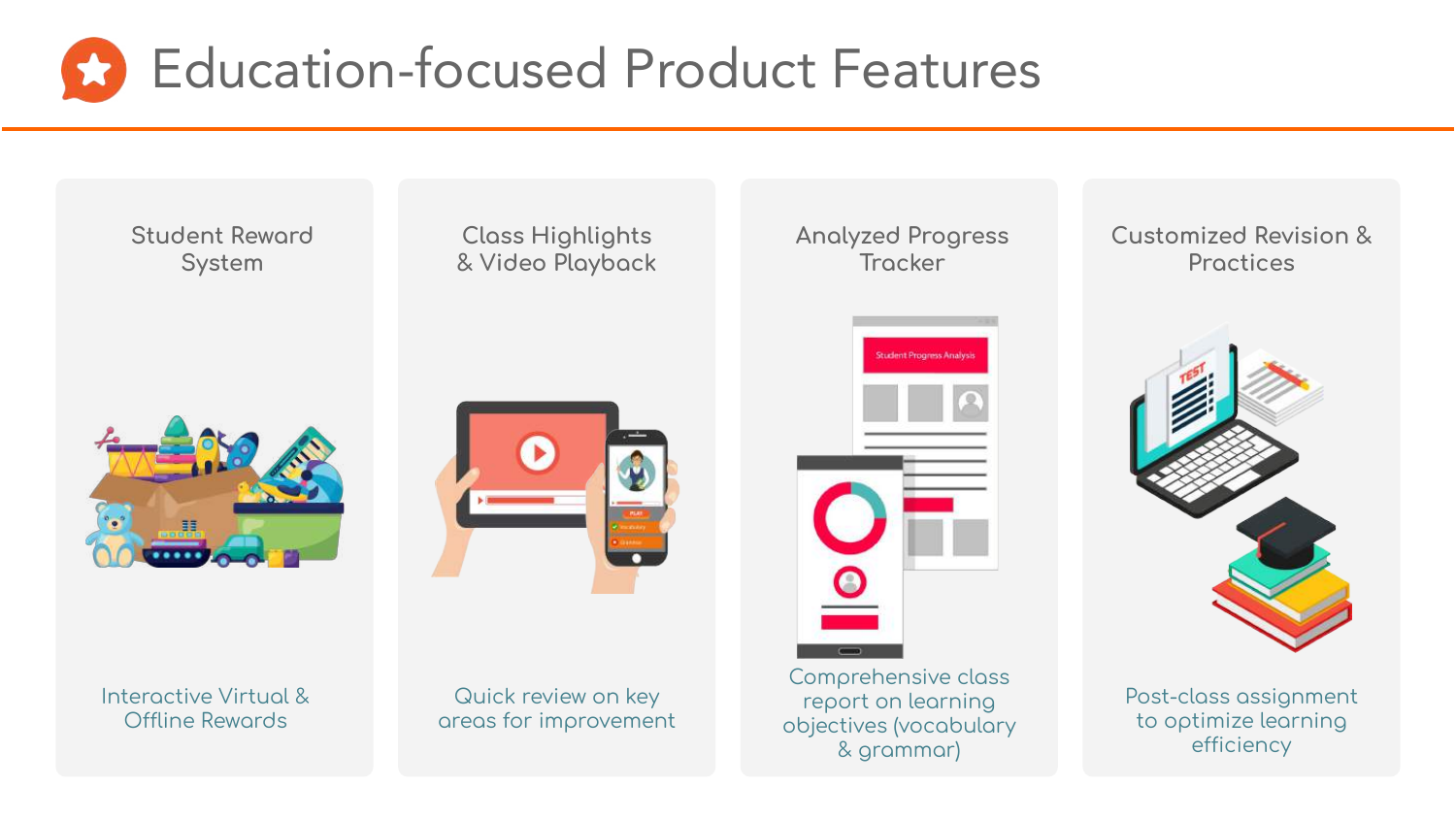

**Student Reword** System



Interactive Virtual & Offline Rewords

**Class Highlights** & Video Playback



Quick review on key areas for improvement **Student Progress Analysis** 

**Analyzed Progress** 

Trocker

Comprehensive class report on learning objectives (vocabulary & grammar)

Customized Revision & Proctices



Post-class assignment to optimize learning efficiency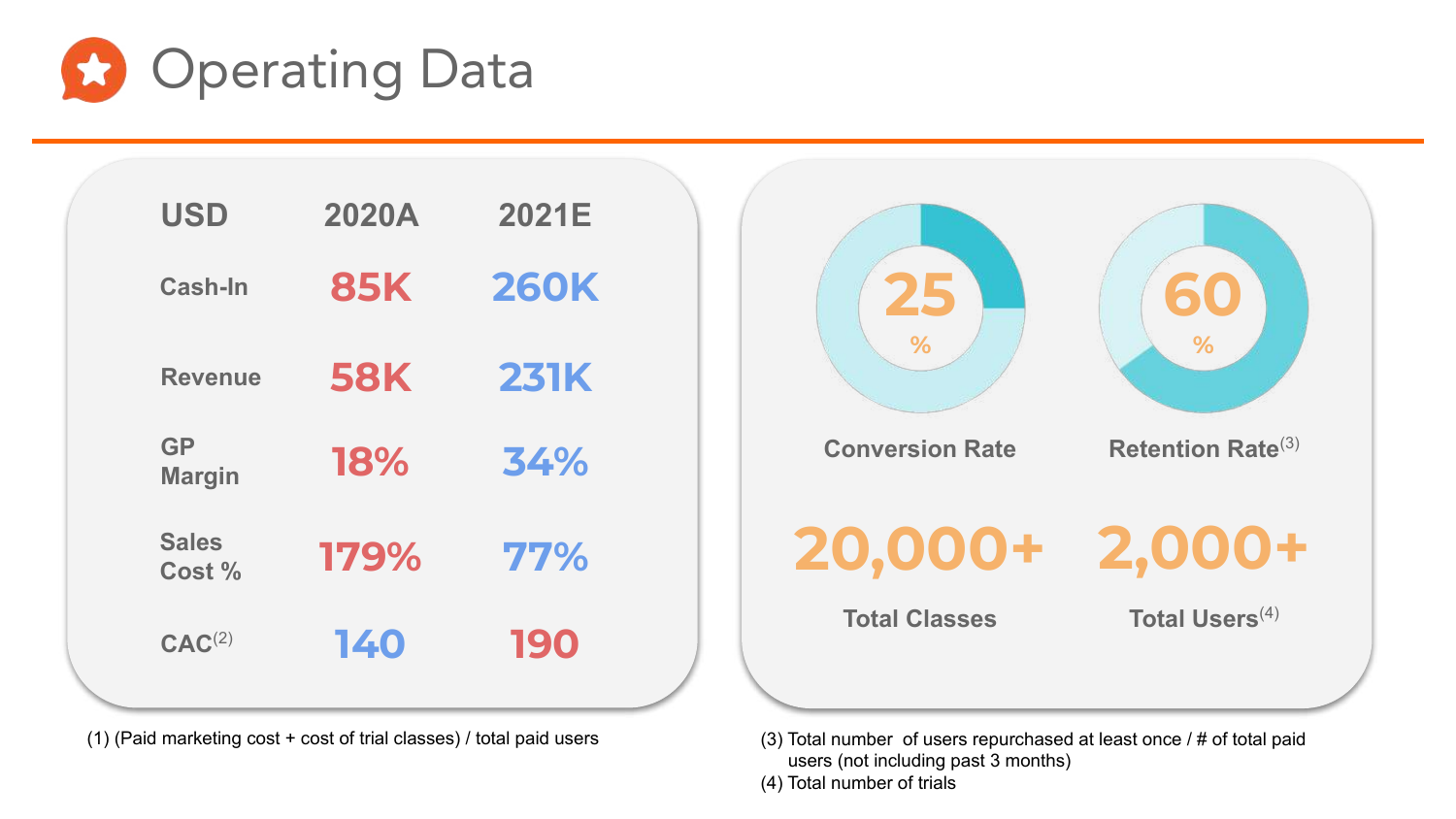

| <b>85K</b><br><b>260K</b><br>Cash-In<br><b>58K</b><br><b>231K</b><br><b>Revenue</b><br><b>GP</b><br><b>18%</b><br>34%<br><b>Margin</b> | <b>USD</b> | 2020A | 2021E |  |
|----------------------------------------------------------------------------------------------------------------------------------------|------------|-------|-------|--|
|                                                                                                                                        |            |       |       |  |
|                                                                                                                                        |            |       |       |  |
|                                                                                                                                        |            |       |       |  |
| <b>Sales</b><br>179%<br>77%<br>Cost %                                                                                                  |            |       |       |  |
| 190<br>140<br>CAC <sup>(2)</sup>                                                                                                       |            |       |       |  |

(1) (Paid marketing cost + cost of trial classes) / total paid users



(3) Total number of users repurchased at least once / # of total paid users (not including past 3 months)

(4) Total number of trials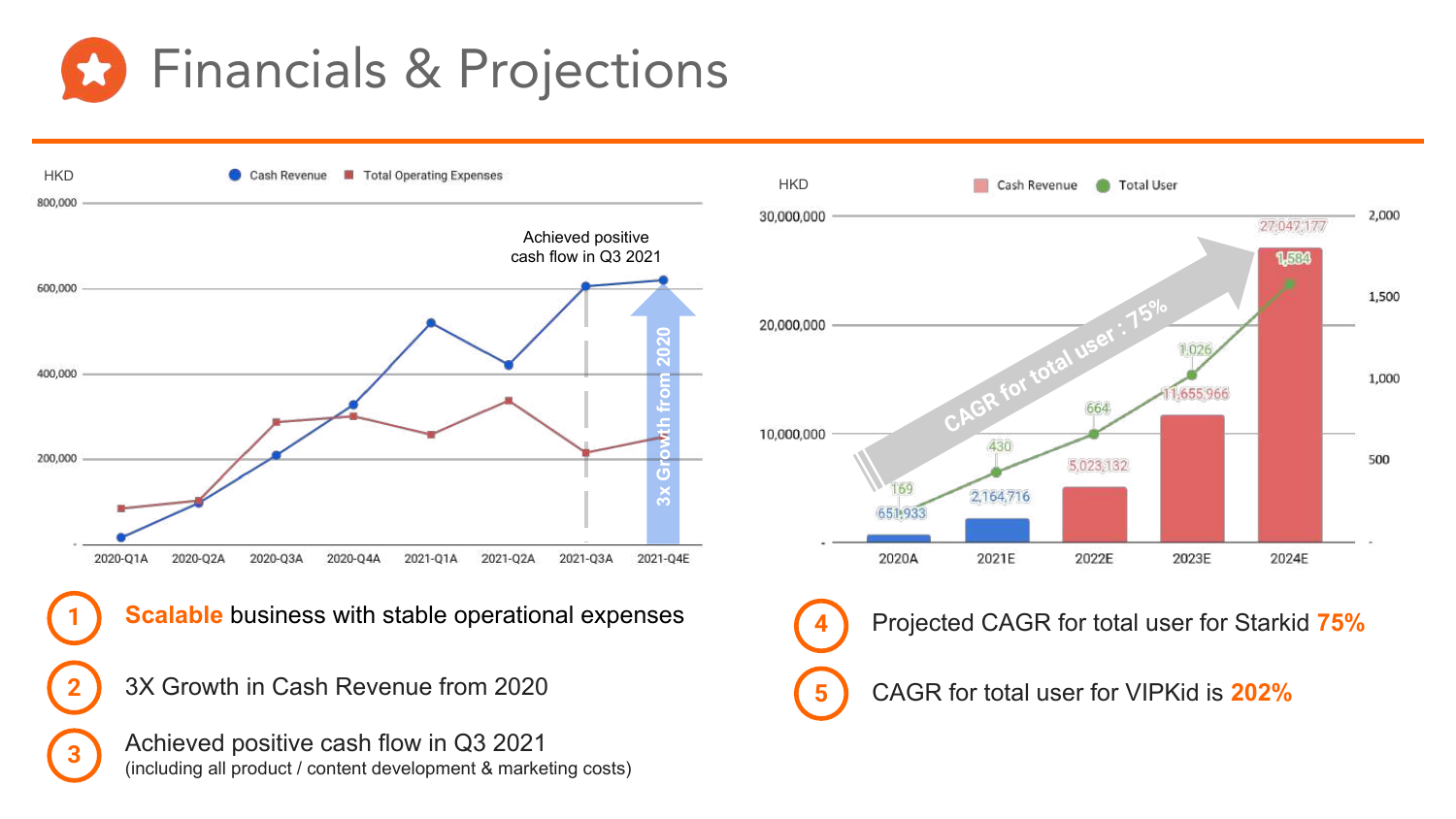

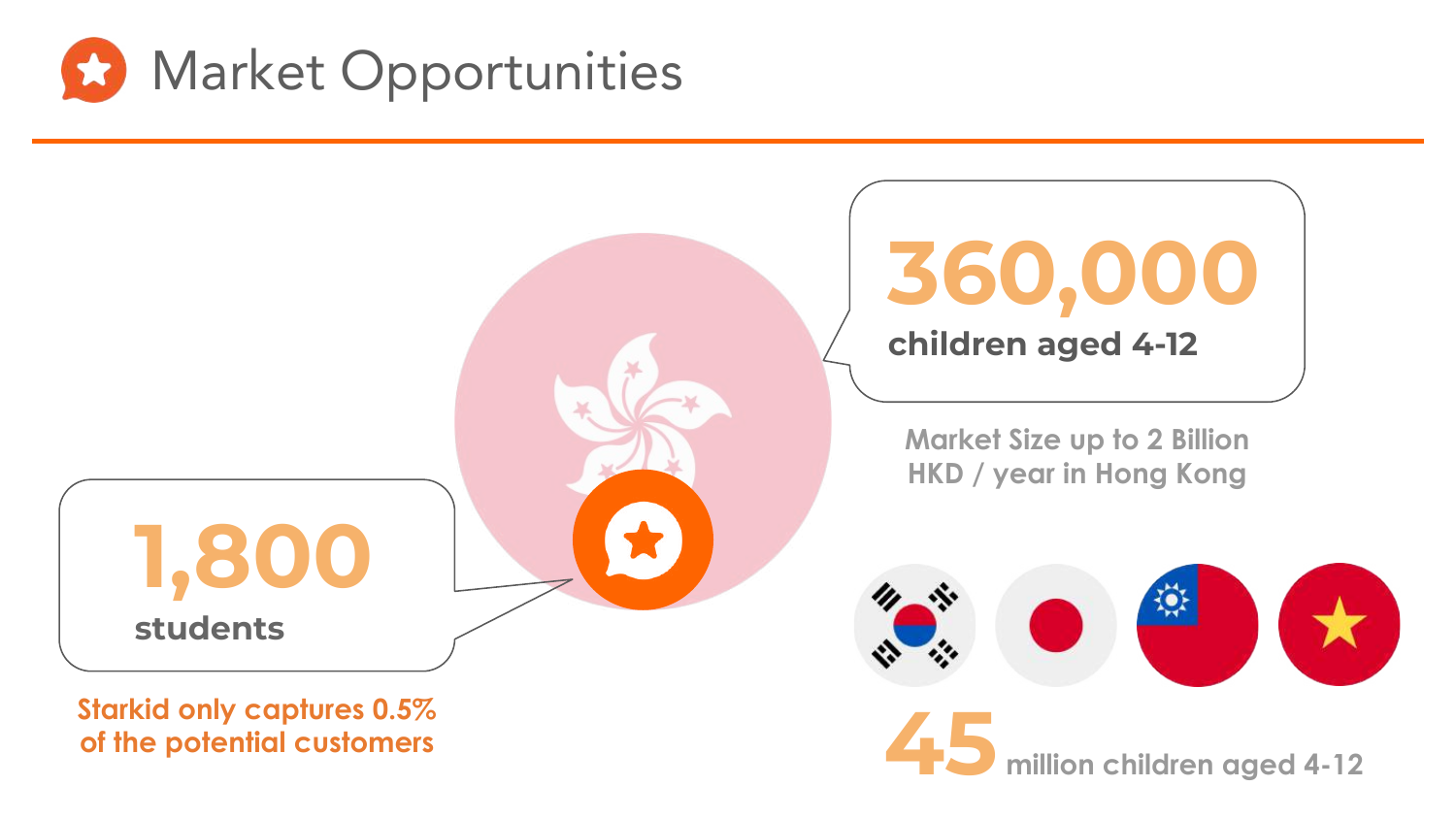



**45 million children aged 4-12**

**Starkid only captures 0.5% of the potential customers**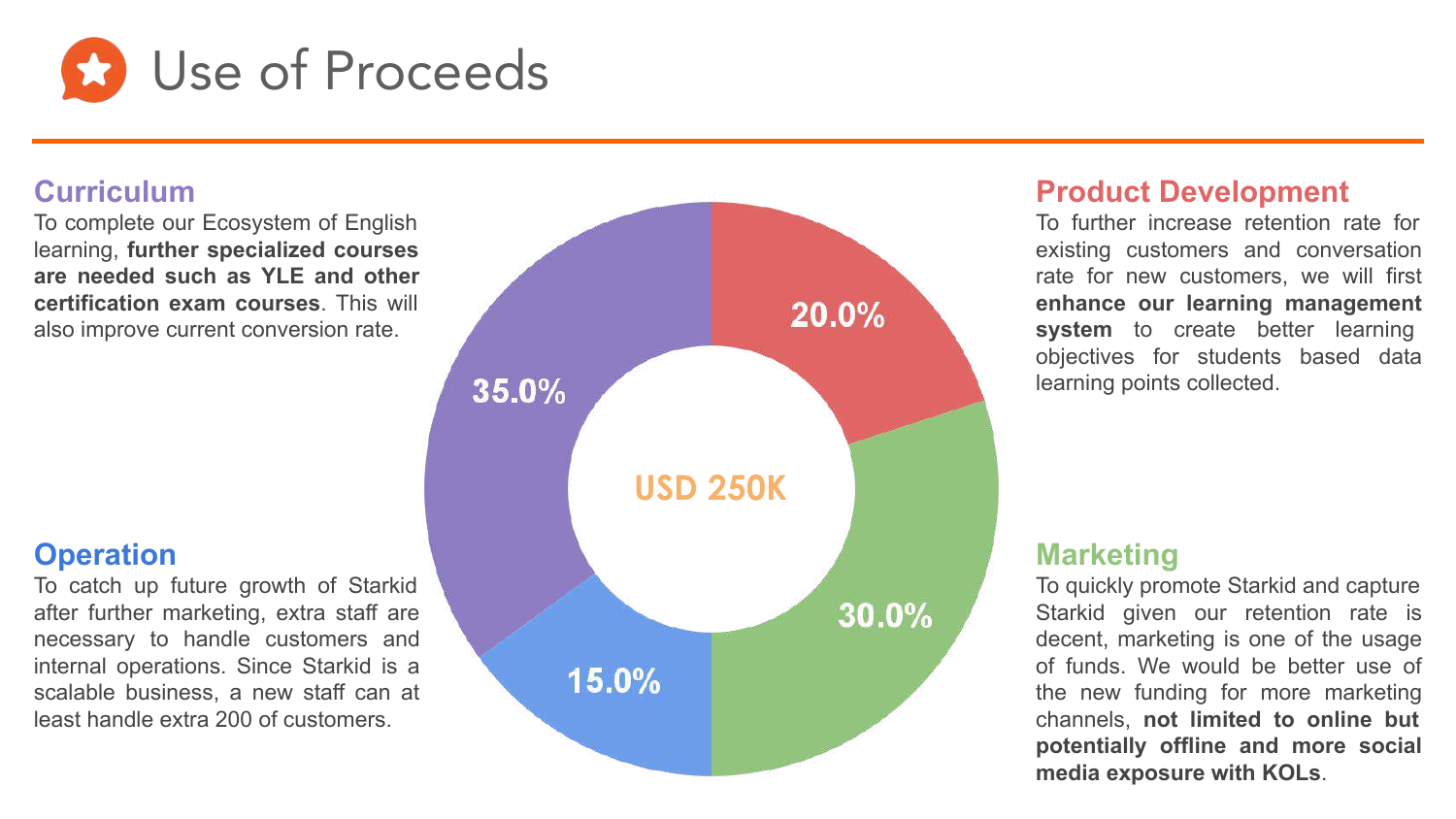

#### **Curriculum**

To complete our Ecosystem of English learning, **further specialized courses are needed such as YLE and other certification exam courses**. This will also improve current conversion rate.

#### **Operation**

To catch up future growth of Starkid after further marketing, extra staff are necessary to handle customers and internal operations. Since Starkid is a scalable business, a new staff can at least handle extra 200 of customers.



#### **Product Development**

To further increase retention rate for existing customers and conversation rate for new customers, we will first **enhance our learning management**  system to create better learning objectives for students based data learning points collected.

#### **Marketing**

To quickly promote Starkid and capture Starkid given our retention rate is decent, marketing is one of the usage of funds. We would be better use of the new funding for more marketing channels, **not limited to online but potentially offline and more social media exposure with KOLs**.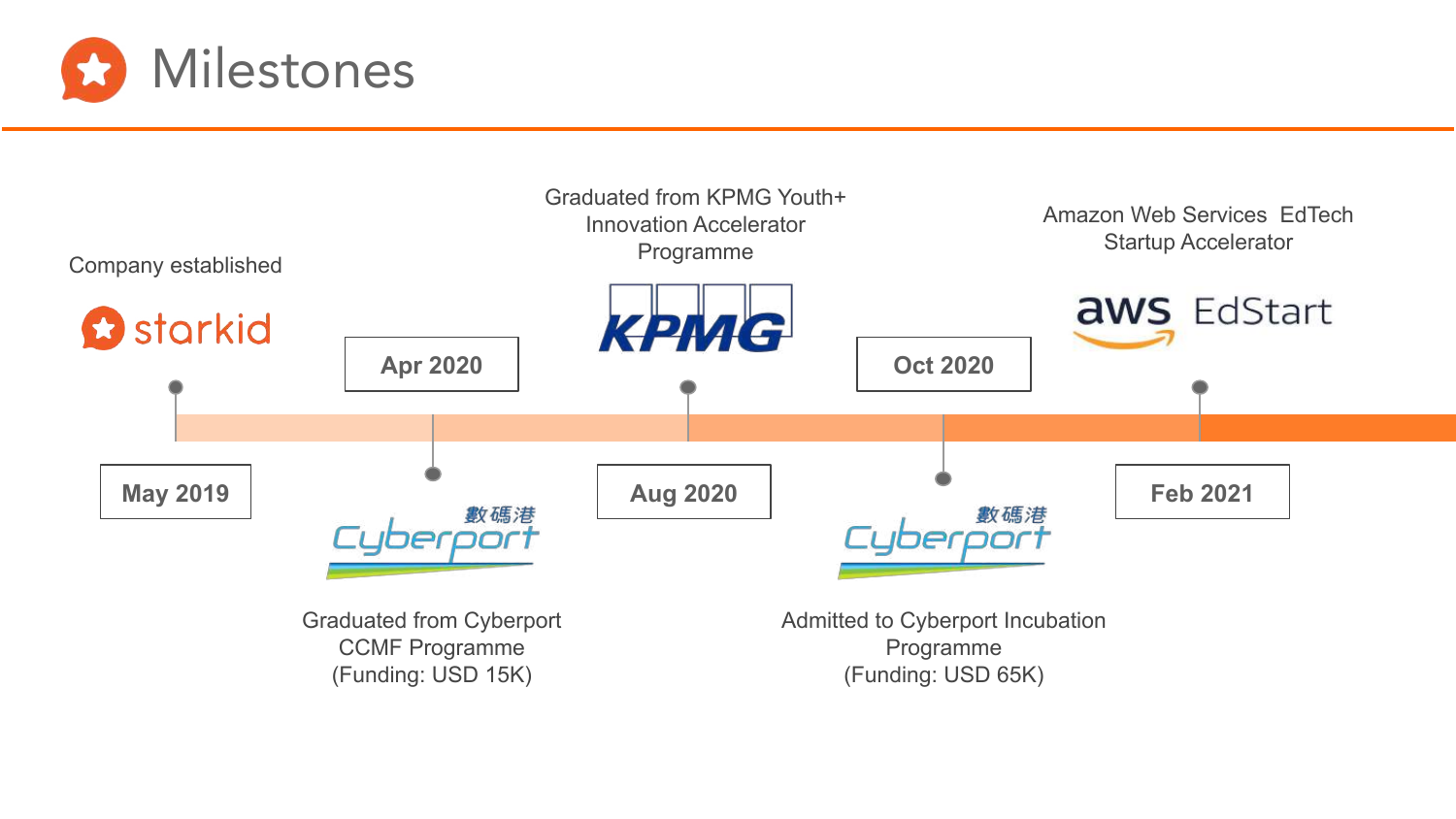

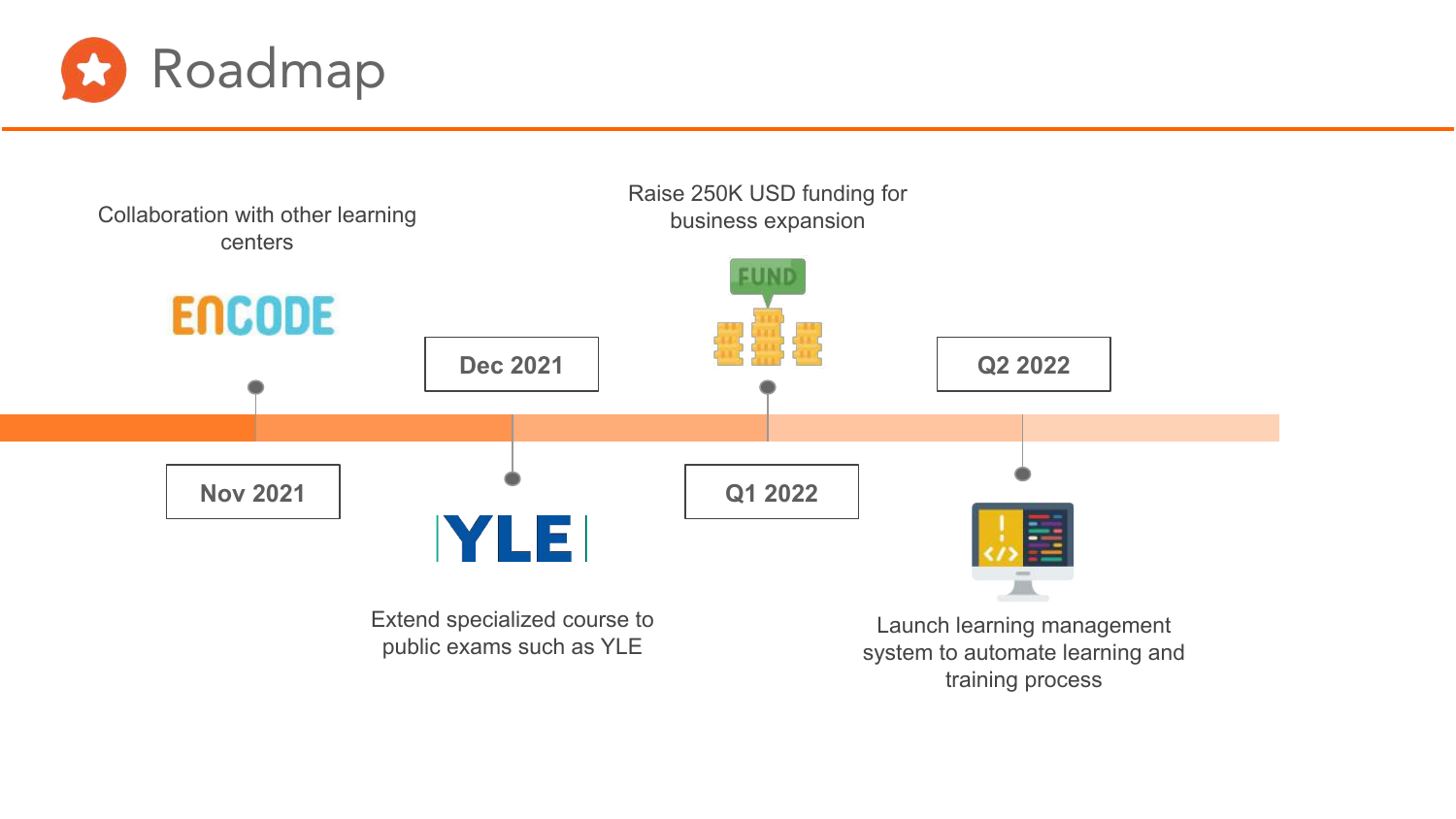



Raise 250K USD funding for